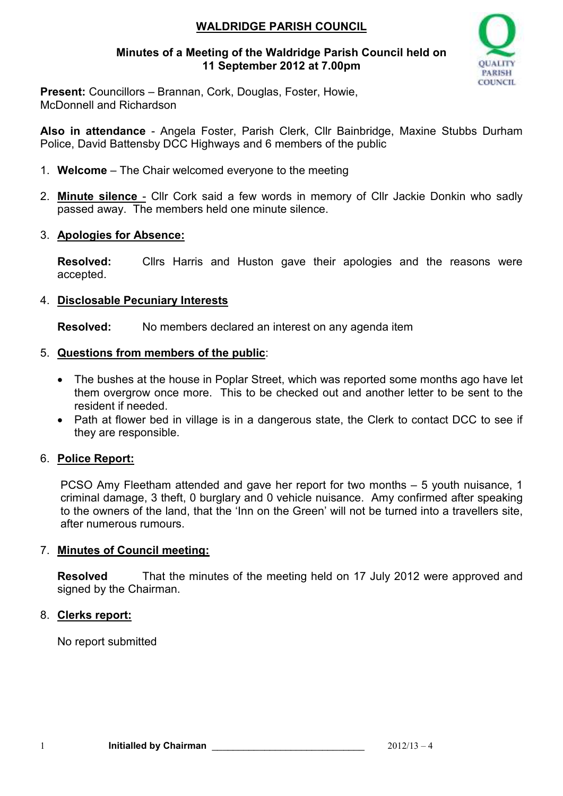## **WALDRIDGE PARISH COUNCIL**

### **Minutes of a Meeting of the Waldridge Parish Council held on 11 September 2012 at 7.00pm**



**Present:** Councillors – Brannan, Cork, Douglas, Foster, Howie, McDonnell and Richardson

**Also in attendance** - Angela Foster, Parish Clerk, Cllr Bainbridge, Maxine Stubbs Durham Police, David Battensby DCC Highways and 6 members of the public

- 1. **Welcome**  The Chair welcomed everyone to the meeting
- 2. **Minute silence** Cllr Cork said a few words in memory of Cllr Jackie Donkin who sadly passed away. The members held one minute silence.

#### 3. **Apologies for Absence:**

**Resolved:** Cllrs Harris and Huston gave their apologies and the reasons were accepted.

#### 4. **Disclosable Pecuniary Interests**

**Resolved:** No members declared an interest on any agenda item

- 5. **Questions from members of the public**:
	- The bushes at the house in Poplar Street, which was reported some months ago have let them overgrow once more. This to be checked out and another letter to be sent to the resident if needed.
	- Path at flower bed in village is in a dangerous state, the Clerk to contact DCC to see if they are responsible.

## 6. **Police Report:**

PCSO Amy Fleetham attended and gave her report for two months – 5 youth nuisance, 1 criminal damage, 3 theft, 0 burglary and 0 vehicle nuisance. Amy confirmed after speaking to the owners of the land, that the 'Inn on the Green' will not be turned into a travellers site, after numerous rumours.

## 7. **Minutes of Council meeting:**

**Resolved** That the minutes of the meeting held on 17 July 2012 were approved and signed by the Chairman.

#### 8. **Clerks report:**

No report submitted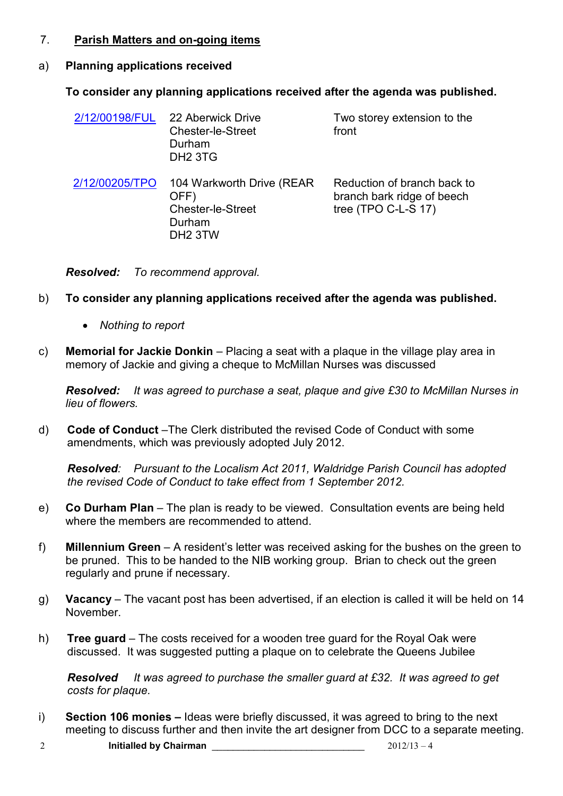#### 7. **Parish Matters and on-going items**

#### a) **Planning applications received**

#### **To consider any planning applications received after the agenda was published.**

| 2/12/00198/FUL | 22 Aberwick Drive<br><b>Chester-le-Street</b><br>Durham<br>DH <sub>2</sub> 3TG                 | Two storey extension to the<br>front                                                |
|----------------|------------------------------------------------------------------------------------------------|-------------------------------------------------------------------------------------|
| 2/12/00205/TPO | 104 Warkworth Drive (REAR<br>OFF)<br><b>Chester-le-Street</b><br>Durham<br>DH <sub>2</sub> 3TW | Reduction of branch back to<br>branch bark ridge of beech<br>tree (TPO C-L-S $17$ ) |

*Resolved: To recommend approval.*

- b) **To consider any planning applications received after the agenda was published.** 
	- *Nothing to report*
- c) **Memorial for Jackie Donkin**  Placing a seat with a plaque in the village play area in memory of Jackie and giving a cheque to McMillan Nurses was discussed

*Resolved: It was agreed to purchase a seat, plaque and give £30 to McMillan Nurses in lieu of flowers.* 

d) **Code of Conduct** –The Clerk distributed the revised Code of Conduct with some amendments, which was previously adopted July 2012.

*Resolved: Pursuant to the Localism Act 2011, Waldridge Parish Council has adopted the revised Code of Conduct to take effect from 1 September 2012.* 

- e) **Co Durham Plan**  The plan is ready to be viewed. Consultation events are being held where the members are recommended to attend.
- f) **Millennium Green**  A resident's letter was received asking for the bushes on the green to be pruned. This to be handed to the NIB working group. Brian to check out the green regularly and prune if necessary.
- g) **Vacancy**  The vacant post has been advertised, if an election is called it will be held on 14 November.
- h) **Tree guard**  The costs received for a wooden tree guard for the Royal Oak were discussed. It was suggested putting a plaque on to celebrate the Queens Jubilee

*Resolved It was agreed to purchase the smaller guard at £32. It was agreed to get costs for plaque.*

- i) **Section 106 monies** Ideas were briefly discussed, it was agreed to bring to the next meeting to discuss further and then invite the art designer from DCC to a separate meeting.
- 2 **Initialled by Chairman** \_\_\_\_\_\_\_\_\_\_\_\_\_\_\_\_\_\_\_\_\_\_\_\_\_\_\_\_\_ 2012/13 4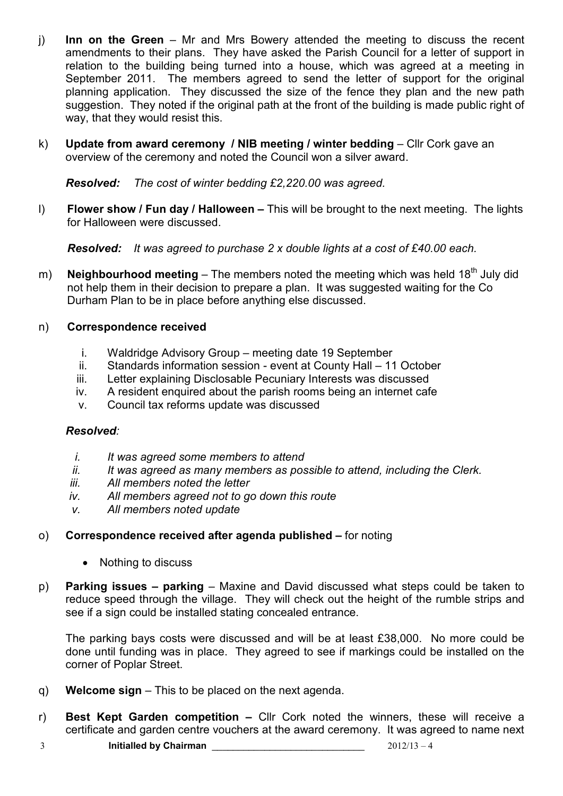- j) **Inn on the Green**  Mr and Mrs Bowery attended the meeting to discuss the recent amendments to their plans. They have asked the Parish Council for a letter of support in relation to the building being turned into a house, which was agreed at a meeting in September 2011. The members agreed to send the letter of support for the original planning application. They discussed the size of the fence they plan and the new path suggestion. They noted if the original path at the front of the building is made public right of way, that they would resist this.
- k) Update from award ceremony / NIB meeting / winter bedding Cllr Cork gave an overview of the ceremony and noted the Council won a silver award.

*Resolved: The cost of winter bedding £2,220.00 was agreed.* 

l) **Flower show / Fun day / Halloween –** This will be brought to the next meeting. The lights for Halloween were discussed.

*Resolved: It was agreed to purchase 2 x double lights at a cost of £40.00 each.* 

m) **Neighbourhood meeting** – The members noted the meeting which was held 18<sup>th</sup> July did not help them in their decision to prepare a plan. It was suggested waiting for the Co Durham Plan to be in place before anything else discussed.

#### n) **Correspondence received**

- i. Waldridge Advisory Group meeting date 19 September
- ii. Standards information session event at County Hall 11 October
- iii. Letter explaining Disclosable Pecuniary Interests was discussed
- iv. A resident enquired about the parish rooms being an internet cafe
- v. Council tax reforms update was discussed

## *Resolved:*

- *i. It was agreed some members to attend*
- *ii. It was agreed as many members as possible to attend, including the Clerk.*
- *iii. All members noted the letter*
- *iv. All members agreed not to go down this route*
- *v. All members noted update*

## o) **Correspondence received after agenda published –** for noting

- Nothing to discuss
- p) **Parking issues parking**  Maxine and David discussed what steps could be taken to reduce speed through the village. They will check out the height of the rumble strips and see if a sign could be installed stating concealed entrance.

The parking bays costs were discussed and will be at least £38,000. No more could be done until funding was in place. They agreed to see if markings could be installed on the corner of Poplar Street.

- q) **Welcome sign** This to be placed on the next agenda.
- r) **Best Kept Garden competition –** Cllr Cork noted the winners, these will receive a certificate and garden centre vouchers at the award ceremony. It was agreed to name next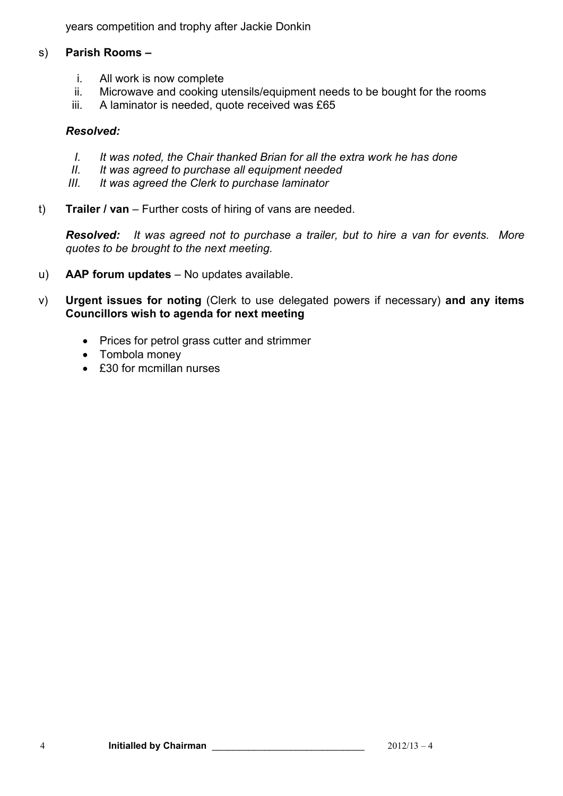years competition and trophy after Jackie Donkin

#### s) **Parish Rooms –**

- i. All work is now complete
- ii. Microwave and cooking utensils/equipment needs to be bought for the rooms
- iii. A laminator is needed, quote received was £65

#### *Resolved:*

- *I. It was noted, the Chair thanked Brian for all the extra work he has done*
- *II. It was agreed to purchase all equipment needed*
- *III. It was agreed the Clerk to purchase laminator*
- t) **Trailer / van**  Further costs of hiring of vans are needed.

*Resolved: It was agreed not to purchase a trailer, but to hire a van for events. More quotes to be brought to the next meeting.* 

- u) **AAP forum updates**  No updates available.
- v) **Urgent issues for noting** (Clerk to use delegated powers if necessary) **and any items Councillors wish to agenda for next meeting** 
	- Prices for petrol grass cutter and strimmer
	- Tombola money
	- £30 for mcmillan nurses